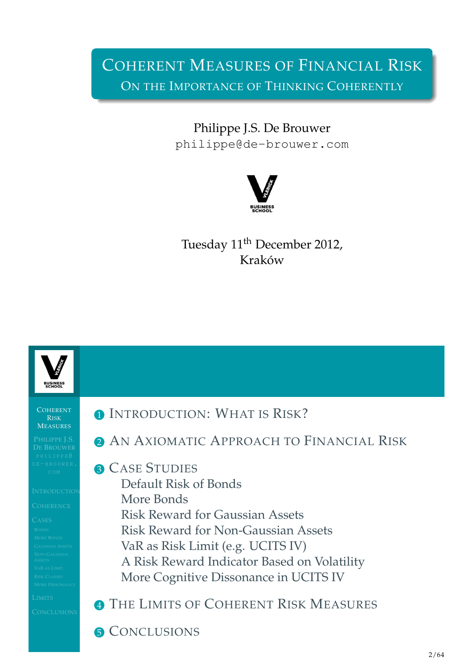# COHERENT MEASURES OF FINANCIAL RISK ON THE IMPORTANCE OF THINKING COHERENTLY

Philippe J.S. De Brouwer philippe@de-brouwer.com



Tuesday 11<sup>th</sup> December 2012, Kraków

<span id="page-0-0"></span>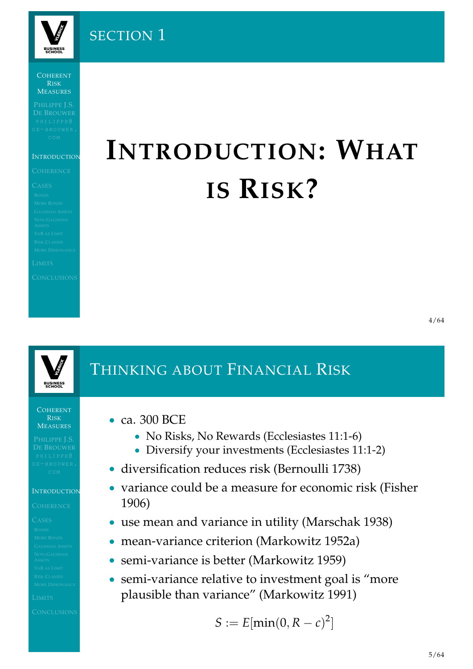

SECTION 1

COHERENT RISK **MEASURES** 

### **INTRODUCTION**

# **INTRODUCTION: WHAT IS RISK?**



COHERENT RISK **MEASURES** 

### **INTRODUCTION**

### • ca. 300 BCE

- No Risks, No Rewards (Ecclesiastes 11:1-6)
- Diversify your investments (Ecclesiastes 11:1-2)
- diversification reduces risk (Bernoulli 1738)

THINKING ABOUT FINANCIAL RISK

- variance could be a measure for economic risk (Fisher 1906)
- use mean and variance in utility (Marschak 1938)
- [mean-variance criterion \(Ma](#page-1-0)rkowitz 1952a)
- semi-variance is better (Markowitz 1959)
- [semi-variance](#page-1-0) [relative to](#page-23-0) investment goal is "more plaus[ible than va](#page-23-1)[ria](#page-22-2)nce" (Markowitz 1991)

<span id="page-1-0"></span>
$$
S := E[\min(0, R - c)^2]
$$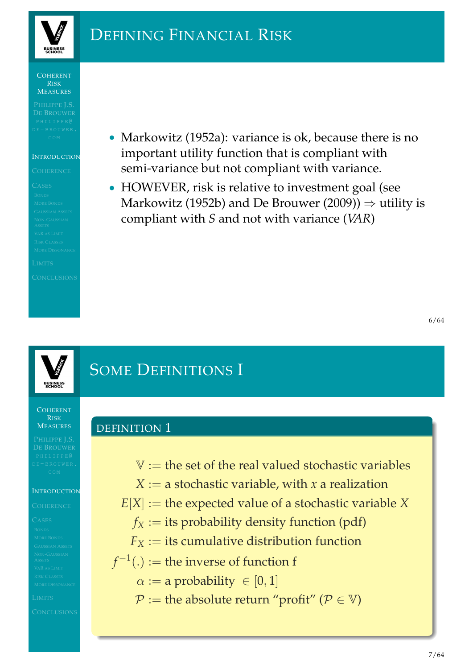

# DEFINING FINANCIAL RISK

### COHERENT RISK **MEASURES**

### **INTRODUCTION**

• Markowitz (1952a): variance is ok, because there is no important utility function that is compliant with semi-variance but not compliant with variance.

• HOWEVER, risk is relative to investment goal (see Markowitz (1952b) and De Brouwer (2009))  $\Rightarrow$  utility is compliant with *S* and not with variance (*VAR*)



# SOME DEFINITIONS I

DEFINITION 1

COHERENT RISK **MEASURES** 

### **INTRODUCTION**

- $V :=$  the set of the real valued stochastic variables
- $X := a$  stochastic variable, with *x* a realization
- $E[X] :=$  the expected value of a stochastic variable  $X$ 
	- $f_X :=$  its probability density function (pdf)
	- $F_X$  $F_X$  := its cumulative distribution function
- $f^{-1}(.) :=$  the inverse of function f
	- $\alpha := a$  probability  $\in [0, 1]$
	- $P :=$  the absolute return "profit" ( $P \in V$ )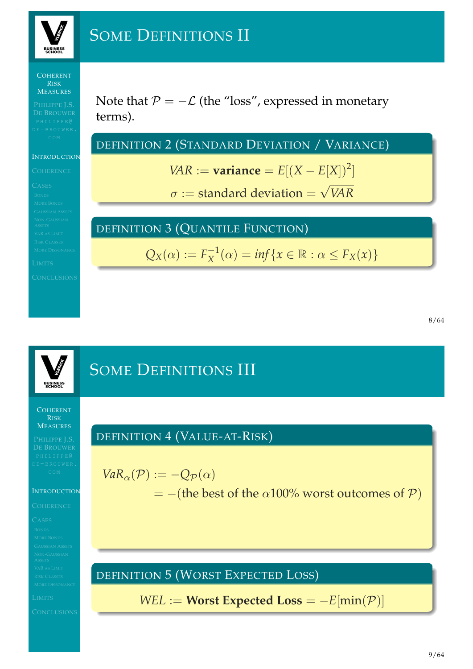

# SOME DEFINITIONS II

### COHERENT RISK **MEASURES**

### **INTRODUCTION**

Note that  $P = -\mathcal{L}$  (the "loss", expressed in monetary terms).

DEFINITION 2 (STANDARD DEVIATION / VARIANCE)

*VAR* := **variance** =  $E[(X - E[X])^2]$ 

 $\sigma :=$  standard deviation  $=$ √ *VAR*

### DEFINITION 3 (QUANTILE FUNCTION)

$$
Q_X(\alpha) := F_X^{-1}(\alpha) = \inf \{ x \in \mathbb{R} : \alpha \le F_X(x) \}
$$

# SOME DEFINITIONS III **BUSINESS** COHERENT RISK **MEASURES** DEFINITION 4 (VALUE-AT-RISK)  $VaR_{\alpha}(\mathcal{P}) := -Q_{\mathcal{P}}(\alpha)$  $=$  –(the best of the  $\alpha$ 100% worst outcomes of  $P$ ) **INTRODUCTION** DEFINITION 5 (WORST EXPECTED LOSS) *WEL* := **Worst Expected Loss** =  $-E[\min(\mathcal{P})]$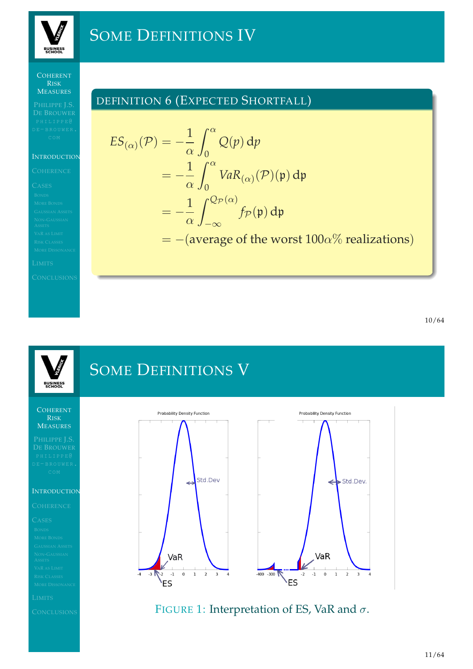

# SOME DEFINITIONS IV

### **COHERENT** RISK MEASURES

### **INTRODUCTION**

## DEFINITION 6 (EXPECTED SHORTFALL)

$$
ES_{(\alpha)}(\mathcal{P}) = -\frac{1}{\alpha} \int_0^{\alpha} Q(p) dp
$$
  
=  $-\frac{1}{\alpha} \int_0^{\alpha} VaR_{(\alpha)}(\mathcal{P})(p) dp$   
=  $-\frac{1}{\alpha} \int_{-\infty}^{Q_{\mathcal{P}}(\alpha)} f_{\mathcal{P}}(p) dp$   
=  $-(\text{average of the worst } 100\alpha\%$  realizations)

### SOME DEFINITIONS V **BUSINESS<br>SCHOOL** COHERENT Probability Density Function Probability Density Function RISK **MEASURES** Std.Dev Std.Dev.  $\leftarrow$ **INTRODUCTION** VaR VaR  $-400 - 300$  $-4$  $-3$   $\sqrt{-2}$   $-1$  $\,$  0  $\,1$  $\overline{2}$  $\overline{\mathbf{3}}$  $\overline{4}$  $-2$  $-1$  $\mathsf 0$  $\,1$  $\overline{2}$  $\overline{\mathbf{3}}$  $\overline{4}$  $V_{ES}$ **ES** FIGURE 1: Interpretation of ES, VaR and  $\sigma$ .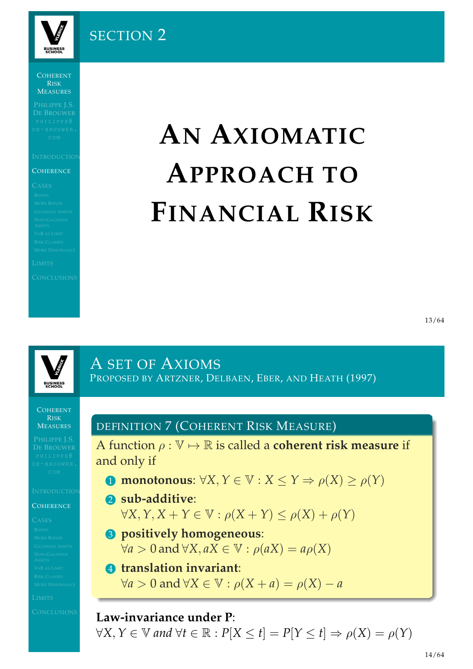

# SECTION 2

COHERENT RISK MEASURES

### **COHERENCE**

# **AN AXIOMATIC APPROACH TO FINANCIAL RISK**



COHERENT RISK

**MEASURES** 

### **[C](#page-0-0)OHERENCE**

DEFINITION 7 (COHERENT RISK MEASURE)

PROPOSED BY ARTZNER, DELBAEN, EBER, AND HEATH (1997)

A function  $\rho : \mathbb{V} \mapsto \mathbb{R}$  is called a **coherent risk measure** if and only if

- **1 [monotonous](#page-22-4):**  $\forall X, Y \in \mathbb{V}: X \leq Y \Rightarrow \rho(X) > \rho(Y)$
- 2 **sub-additive**:  $\forall X, Y, X + Y \in \mathbb{V}: \rho(X + Y) \leq \rho(X) + \rho(Y)$ 
	- 3 **[positively homogeneous](#page-5-0)**:  $\forall a > 0$  and  $\forall X, aX \in \mathbb{V} : \rho(aX) = a\rho(X)$
- 4 **[translation invariant](#page-5-0)**:  $\forall a > 0$  and  $\forall X \in \mathbb{V}: \rho(X + a) = \rho(X) - a$

### **Law-invariance under P**:

A SET OF AXIOMS

<span id="page-5-0"></span> $\forall X, Y \in \mathbb{V}$  and  $\forall t \in \mathbb{R} : P[X \leq t] = P[Y \leq t] \Rightarrow \rho(X) = \rho(Y)$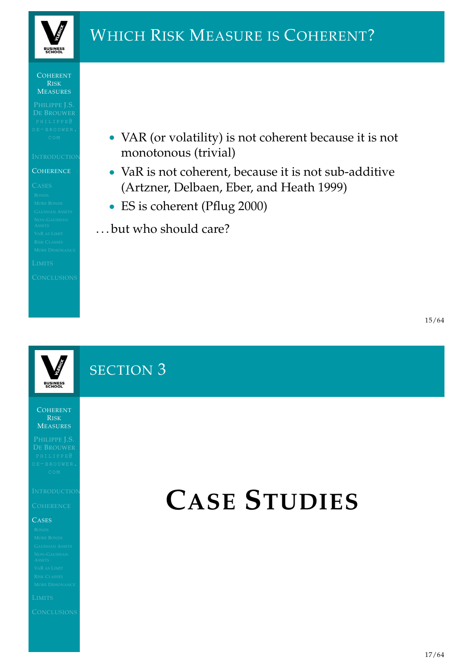

# WHICH RISK MEASURE IS COHERENT?

### COHERENT RISK MEASURES

### **COHERENCE**

• VAR (or volatility) is not coherent because it is not monotonous (trivial)

- VaR is not coherent, because it is not sub-additive (Artzner, Delbaen, Eber, and Heath 1999)
- ES is coherent (Pflug 2000)
- . . . but who should care?

# SECTION 3

COHERENT RISK **MEASURES** 

**BUSINESS** 

### **CASES**

# <span id="page-6-0"></span>**CASE STUDIES**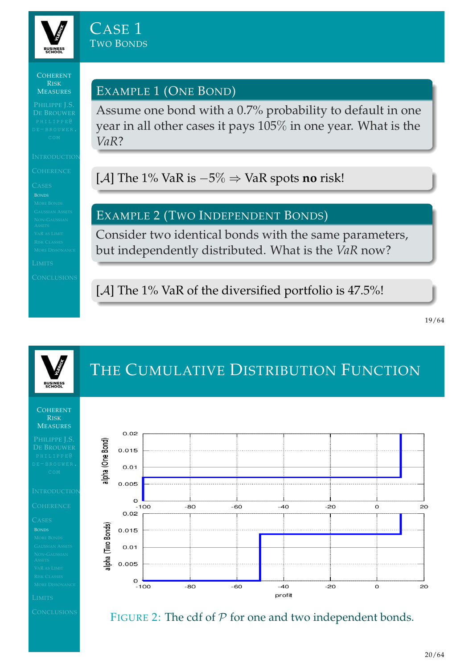

### EXAMPLE 1 (ONE BOND)

Assume one bond with a 0.7% probability to default in one year in all other cases it pays 105% in one year. What is the *VaR*?

[A] The 1% VaR is −5% ⇒ VaR spots **no** risk!

### EXAMPLE 2 (TWO INDEPENDENT BONDS)

Consider two identical bonds with the same parameters, but independently distributed. What is the *VaR* now?

<span id="page-7-0"></span>[A] The 1% VaR of the diversified portfolio is 47.5%!

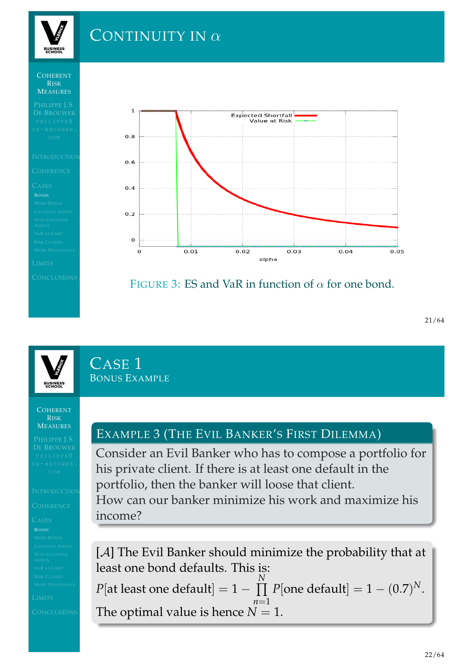# CONTINUITY IN α

### COHERENT RISK MEASURES

**BUSINESS** 





## FIGURE 3: ES and VaR in function of  $\alpha$  for one bond.

# CASE<sub>1</sub> BONUS EXAMPLE

### **COHERENT** RISK **MEASURES**

### BONDS

## EXAMPLE 3 (THE EVIL BANKER'S FIRST DILEMMA)

Consider an Evil Banker who has to compose a portfolio for his private client. If there is at least one default in the portfolio, then the banker will loose that client. How can our banker minimize his work and maximize his income?

[A] The Evil Banker should minimize the probability that at least one bond defaults. This is:  $P[\text{at least one default}] = 1 - \prod$ *N n*=1  $P[\text{one default}] = 1 - (0.7)^N.$ The optimal value is hence  $N = 1$ .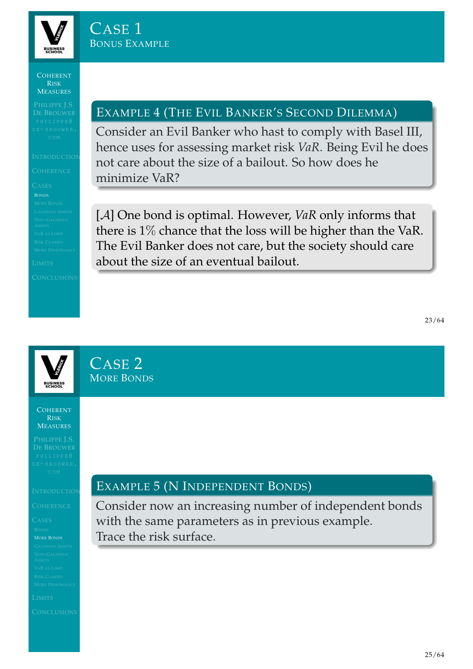

## EXAMPLE 4 (THE EVIL BANKER'S SECOND DILEMMA)

Consider an Evil Banker who hast to comply with Basel III, hence uses for assessing market risk *VaR*. Being Evil he does not care about the size of a bailout. So how does he minimize VaR?

[A] One bond is optimal. However, *VaR* only informs that there is 1% chance that the loss will be higher than the VaR. The Evil Banker does not care, but the society should care about the size of an eventual bailout.

CASE 2

MORE BONDS

COHERENT RISK **MEASURES** 

MORE BONDS

### EXAMPLE 5 (N INDEPENDENT BONDS)

<span id="page-9-0"></span>Consider now an increasing number of independent bonds with the same parameters as in previous example. Trace the risk surface.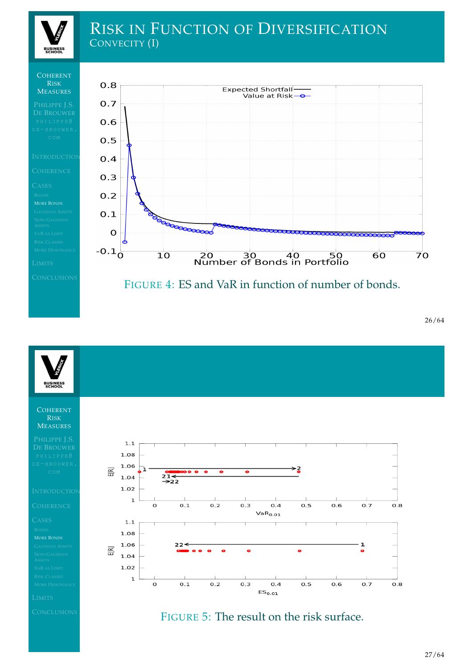

# RISK IN FUNCTION OF DIVERSIFICATION CONVECITY (I)

### **COHERENT** RISK MEASURES



### FIGURE 4: ES and VaR in function of number of bonds.

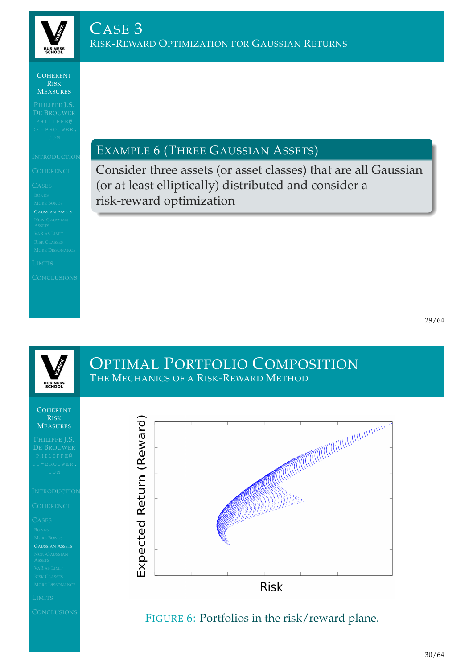

### EXAMPLE 6 (THREE GAUSSIAN ASSETS)

Consider three assets (or asset classes) that are all Gaussian (or at least elliptically) distributed and consider a risk-reward optimization

# OPTIMAL PORTFOLIO COMPOSITION THE MECHANICS OF A RISK-REWARD METHOD **BUSINESS**<br>SCHOOL COHERENT RISK Expected Return (Reward) **MEASURES**

<span id="page-11-0"></span>**Risk** 

### FIGURE 6: Portfolios in the risk/reward plane.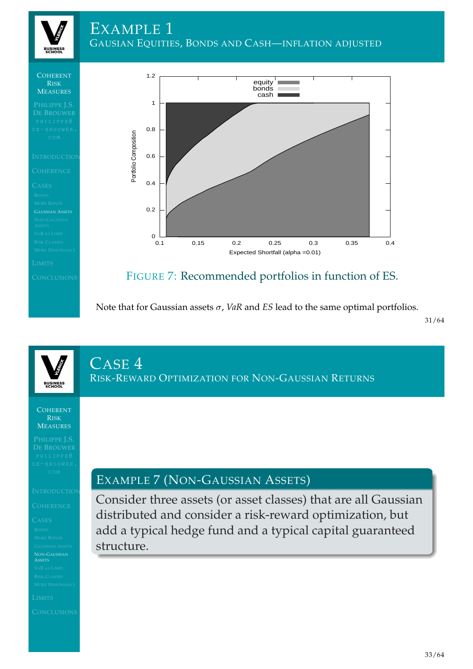**BUSINESS**<br>SCHOOL







## FIGURE 7: Recommended portfolios in function of ES.

Note that for Gaussian assets  $\sigma$ , *VaR* and *ES* lead to the same optimal portfolios.

31/64

# CASE<sup>4</sup> RISK-REWARD OPTIMIZATION FOR NON-GAUSSIAN RETURNS

**COHERENT** RISK **MEASURES** 

[N](#page-1-0)ON-GAUSSIAN

<span id="page-12-1"></span>

<span id="page-12-0"></span>

## EXAMPLE 7 (NON-GAUSSIAN ASSETS)

Consider three assets (or asset classes) that are all Gaussian distributed and consider a risk-reward optimization, but add a typical hedge fund and a typical capital guaranteed structure.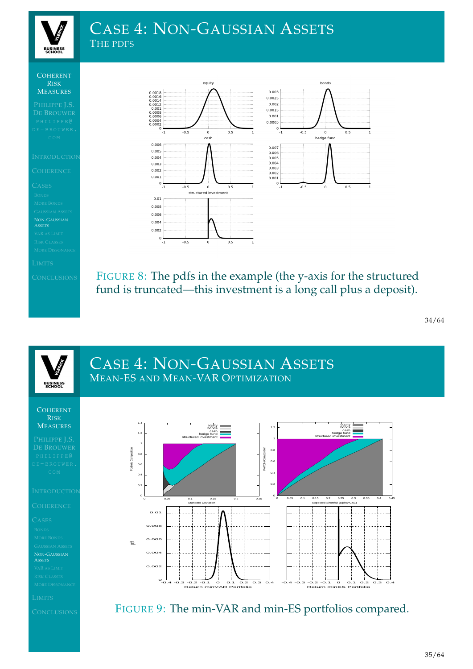

# CASE 4: NON-GAUSSIAN ASSETS THE PDFS

COHERENT RISK MEASURES

NON-GAUSSIAN ASSETS

bonds equity  $\begin{array}{c} 0.0018 \\ 0.0016 \\ 0.0014 \\ 0.0012 \\ 0.001 \end{array}$  $0.003$  $0.0025$  $0.002$ 0.0015  $0.0008$ <br>0.0006<br>0.0004<br>0.0002  $0.001$  $0.0005$  $\begin{bmatrix} 1 & 0 \\ 0 & -1 \end{bmatrix}$ ő  $0.5$ 5  $\mathbf 0$  $\overline{0}$ rash hedge fund  $0.006$ 0.007  $0.005$ 0.006  $0.005$ <br> $0.004$ 0.004  $0.003$  $0.003$ 0.002  $0.002$  $0.001$  $0.001$  $\frac{1}{0}$  $0\frac{1}{1}$  $-0.5$  $0.5$  $-0.5$ structured investment  $0.01$  $0.008$  $0.006$  $0.004$  $0.002$  $\mathfrak{a}$  $\overline{1}$  $-0.5$  $0.5$ 

 $0.5$ 

 $0.5$ 

FIGURE 8: The pdfs in the example (the y-axis for the structured fund is truncated—this investment is a long call plus a deposit).

34/64

# CASE 4: NON-GAUSSIAN ASSETS MEAN-ES AND MEAN-VAR OPTIMIZATION



FIGURE 9: The min-VAR and min-ES portfolios compared.



**BUSINESS**<br>SCHOOL

[N](#page-1-0)ON-GAUSSIAN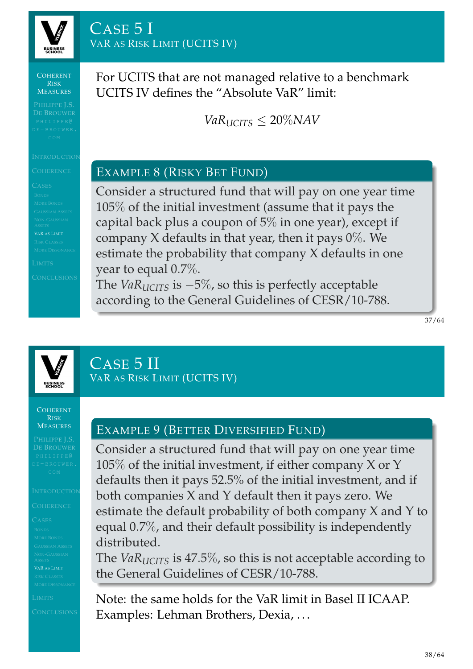**BUSINES:**<br>SCHOOL

For UCITS that are not managed relative to a benchmark UCITS IV defines the "Absolute VaR" limit:

 $VaR<sub>UCTS</sub> < 20\%$ *NAV* 

### EXAMPLE 8 (RISKY BET FUND)

Consider a structured fund that will pay on one year time 105% of the initial investment (assume that it pays the capital back plus a coupon of  $5\%$  in one year), except if company  $X$  defaults in that year, then it pays  $0\%$ . We estimate the probability that company X defaults in one year to equal 0.7%.

The *VaRUCITS* is −5%, so this is perfectly acceptable according to the General Guidelines of CESR/10-788.

37/64



CASE 5 II

VAR AS RISK LIMIT (UCITS IV)

COHERENT RISK **MEASURES** 

# EXAMPLE 9 (BETTER DIVERSIFIED FUND)

Consider a structured fund that will pay on one year time  $105\%$  of the initial investment, if either company X or Y defaults then it pays 52.5% of the initial investment, and if both companies X and Y default then it pays zero. We estimate the default probability of both company X and Y to equal 0.7%, and their default possibility is independently distributed.

The *VaRUCITS* is 47.5%, so this is not acceptable according to the General Guidelines of CESR/10-788.

<span id="page-14-0"></span>Note: the same holds for the VaR limit in Basel II ICAAP. Examples: Lehman Brothers, Dexia, . . .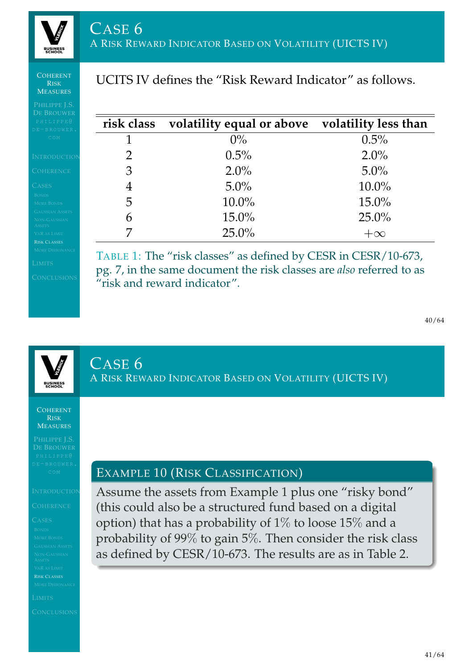UCITS IV defines the "Risk Reward Indicator" as follows.

### COHERENT RISK MEASURES

**BUSINES:**<br>SCHOOL

| PHILIPPE <sup>@</sup><br>E-BROUWER.                  | risk class | volatility equal or above volatility less than |           |
|------------------------------------------------------|------------|------------------------------------------------|-----------|
| COM                                                  |            | $0\%$                                          | $0.5\%$   |
| <b>NTRODUCTION</b>                                   |            | $0.5\%$                                        | $2.0\%$   |
| COHERENCE                                            | 3          | $2.0\%$                                        | $5.0\%$   |
| <b>LASES</b>                                         | 4          | $5.0\%$                                        | $10.0\%$  |
| <b>BONDS</b><br><b>MORE BONDS</b>                    | 5          | $10.0\%$                                       | $15.0\%$  |
| <b>GAUSSIAN ASSETS</b><br>NON-GAUSSIAN               | 6          | $15.0\%$                                       | $25.0\%$  |
| <b>ASSETS</b><br>VAR AS LIMIT<br><b>RISK CLASSES</b> |            | $25.0\%$                                       | $+\infty$ |
|                                                      |            |                                                |           |

TABLE 1: The "risk classes" as defined by CESR in CESR/10-673, pg. 7, in the same document the risk classes are *also* referred to as "risk and reward indicator".

40/64

CASE 6 A RISK REWARD INDICATOR BASED ON VOLATILITY (UICTS IV)

COHERENT RISK **MEASURES** 

[R](#page-7-0)ISK CLASSES

<span id="page-15-0"></span>

### EXAMPLE 10 (RISK CLASSIFICATION)

Assume the assets from Example 1 plus one "risky bond" (this could also be a structured fund based on a digital option) that has a probability of 1% to loose 15% and a probability of 99% to gain 5%. Then consider the risk class as defined by [C](#page-12-1)ESR/10-673. The results are as in Table 2.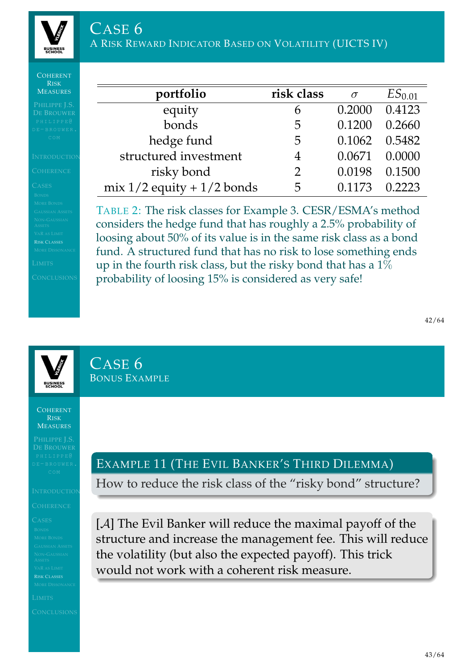

| <b>RISK</b><br><b>MEASURES</b><br>PHILIPPE J.S.<br>PHILIPPEQ<br>COM                                                                                            |                                                                                                                                                                                                                                                                                                                                             |                |          |                    |  |  |
|----------------------------------------------------------------------------------------------------------------------------------------------------------------|---------------------------------------------------------------------------------------------------------------------------------------------------------------------------------------------------------------------------------------------------------------------------------------------------------------------------------------------|----------------|----------|--------------------|--|--|
| <b>DE BROUWER</b><br>DE-BROUWER.                                                                                                                               | portfolio                                                                                                                                                                                                                                                                                                                                   | risk class     | $\sigma$ | ES <sub>0.01</sub> |  |  |
|                                                                                                                                                                | equity                                                                                                                                                                                                                                                                                                                                      | 6              | 0.2000   | 0.4123             |  |  |
|                                                                                                                                                                | bonds                                                                                                                                                                                                                                                                                                                                       | 5              | 0.1200   | 0.2660             |  |  |
|                                                                                                                                                                | hedge fund                                                                                                                                                                                                                                                                                                                                  | 5              | 0.1062   | 0.5482             |  |  |
| <b>INTRODUCTION</b>                                                                                                                                            | structured investment                                                                                                                                                                                                                                                                                                                       | 4              | 0.0671   | 0.0000             |  |  |
| <b>COHERENCE</b>                                                                                                                                               | risky bond                                                                                                                                                                                                                                                                                                                                  | $\overline{2}$ | 0.0198   | 0.1500             |  |  |
| <b>CASES</b><br><b>BONDS</b>                                                                                                                                   | mix $1/2$ equity + $1/2$ bonds                                                                                                                                                                                                                                                                                                              | 5              | 0.1173   | 0.2223             |  |  |
| <b>MORE BONDS</b><br><b>GAUSSIAN ASSETS</b><br>NON-GAUSSIAN<br><b>ASSETS</b><br><b>VAR AS LIMIT</b><br><b>RISK CLASSES</b><br><b>MORE DISSONANCE</b><br>LIMITS | TABLE 2: The risk classes for Example 3. CESR/ESMA's method<br>considers the hedge fund that has roughly a 2.5% probability of<br>loosing about 50% of its value is in the same risk class as a bond<br>fund. A structured fund that has no risk to lose something ends<br>up in the fourth risk class, but the risky bond that has a $1\%$ |                |          |                    |  |  |

probability of loosing 15% is considered as very safe!

42/64

CASE 6 BONUS EXAMPLE

COHERENT RISK **MEASURES** 

[R](#page-7-0)ISK CLASSES

# EXAMPLE 11 (THE EVIL BANKER'S THIRD DILEMMA)

How to reduce the risk class of the "risky bond" structure?

[A] The Evil Banker will reduce the maximal payoff of the structure and increase the management fee. This will reduce the volatility (but also the expected payoff). This trick would not work with a coherent risk measure.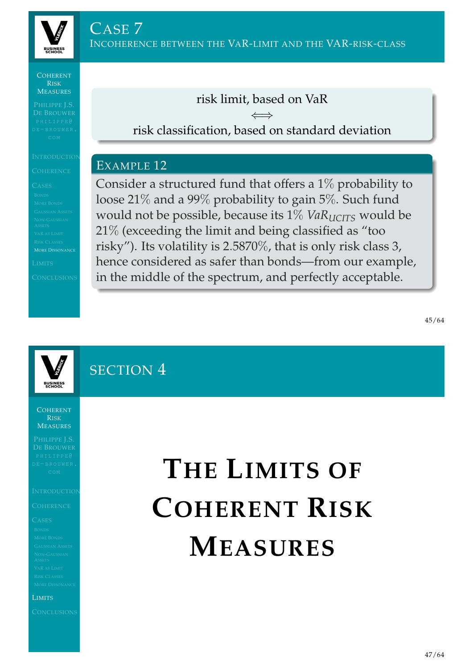

MORE DISSONANCE

risk limit, based on VaR

⇐⇒ risk classification, based on standard deviation

### EXAMPLE 12

Consider a structured fund that offers a 1% probability to loose 21% and a 99% probability to gain 5%. Such fund would not be possible, because its 1% *VaR*<sub>*UCITS*</sub> would be 21% (exceeding the limit and being classified as "too risky"). Its volatility is 2.5870%, that is only risk class 3, hence considered as safer than bonds—from our example, in the middle of the spectrum, and perfectly acceptable.

SECTION 4

**COHERENT** RISK **MEASURES** 

[L](#page-12-0)IMITS

# <span id="page-17-0"></span>**THE LIMITS OF COHERENT RISK M[EASU](#page-17-0)RES**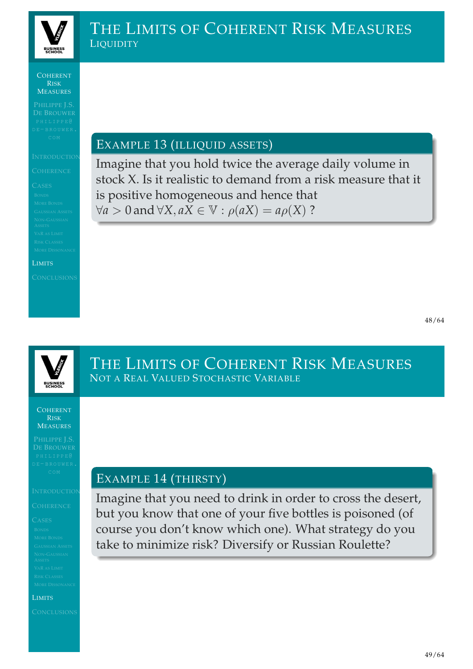

# THE LIMITS OF COHERENT RISK MEASURES **LIQUIDITY**

### COHERENT RISK **MEASURES**

### LIMITS

### EXAMPLE 13 (ILLIQUID ASSETS)

Imagine that you hold twice the average daily volume in stock X. Is it realistic to demand from a risk measure that it is positive homogeneous and hence that  $∀a > 0$  and  $∀X, aX ∈ V : \rho(aX) = a\rho(X)$  ?



COHERENT RISK **MEASURES** 

### [L](#page-12-0)IMITS

THE LIMITS OF COHERENT RISK MEASURES NOT A REAL VALUED STOCHASTIC VARIABLE

### EXAMPLE 14 (THIRSTY)

Imagine that you need to drink in order to cross the desert, but you know that one of your five bottles is poisoned (of course you don't know which one). What strategy do you take to minimize risk? Diversify or Russian Roulette?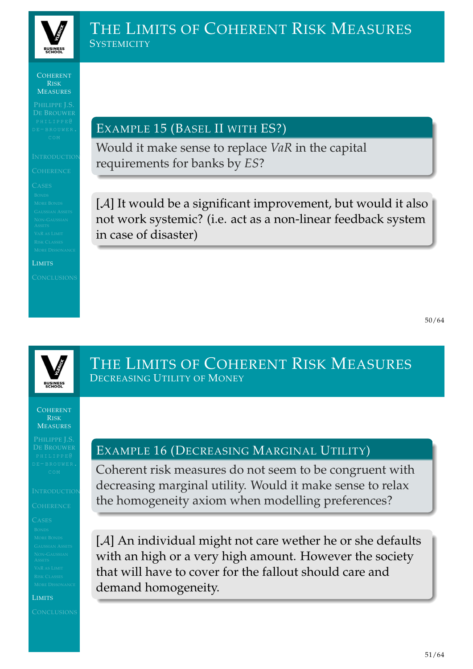

## THE LIMITS OF COHERENT RISK MEASURES **SYSTEMICITY**

COHERENT RISK **MEASURES** 

LIMITS

EXAMPLE 15 (BASEL II WITH ES?)

Would it make sense to replace *VaR* in the capital requirements for banks by *ES*?

[A] It would be a significant improvement, but would it also not work systemic? (i.e. act as a non-linear feedback system in case of disaster)



COHERENT RISK **MEASURES** 

[L](#page-12-0)IMITS

## THE LIMITS OF COHERENT RISK MEASURES DECREASING UTILITY OF MONEY

### EXAMPLE 16 (DECREASING MARGINAL UTILITY)

Coherent risk measures do not seem to be congruent with decreasing marginal utility. Would it make sense to relax the homogeneity axiom when modelling preferences?

[A] An individual might not care wether he or she defaults with an high or a very high amount. However the society that will have to cover for the fallout should care and demand homogeneity.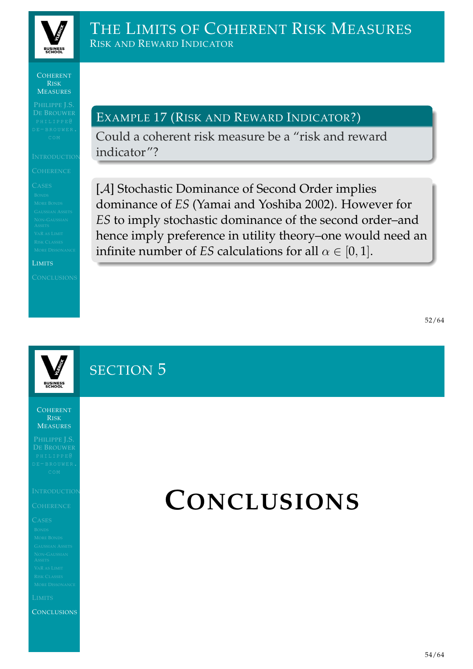

## THE LIMITS OF COHERENT RISK MEASURES RISK AND REWARD INDICATOR

COHERENT RISK **MEASURES** 

LIMITS

EXAMPLE 17 (RISK AND REWARD INDICATOR?)

Could a coherent risk measure be a "risk and reward indicator"?

[A] Stochastic Dominance of Second Order implies dominance of *ES* (Yamai and Yoshiba 2002). However for *ES* to imply stochastic dominance of the second order–and hence imply preference in utility theory–one would need an infinite number of *ES* calculations for all  $\alpha \in [0, 1]$ .

SECTION<sub>5</sub>

COHERENT RISK **MEASURES** 

**[C](#page-15-0)ONCLUSIONS** 

# **CONCLUSIONS**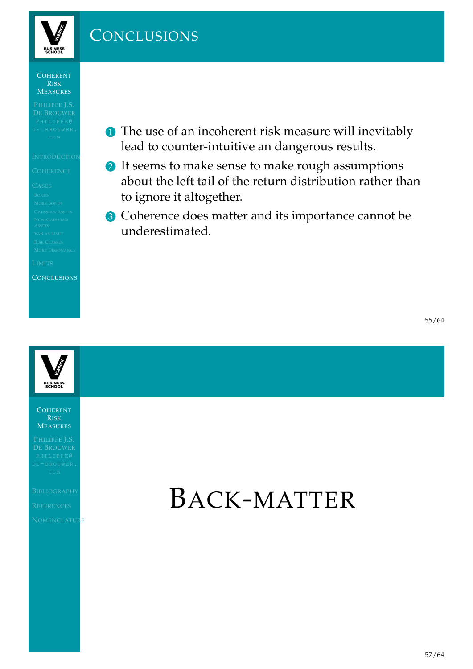

# **CONCLUSIONS**

COHERENT RISK MEASURES

**CONCLUSIONS** 

- **1** The use of an incoherent risk measure will inevitably lead to counter-intuitive an dangerous results.
- 2 It seems to make sense to make rough assumptions about the left tail of the return distribution rather than to ignore it altogether.
- <sup>3</sup> Coherence does matter and its importance cannot be underestimated.

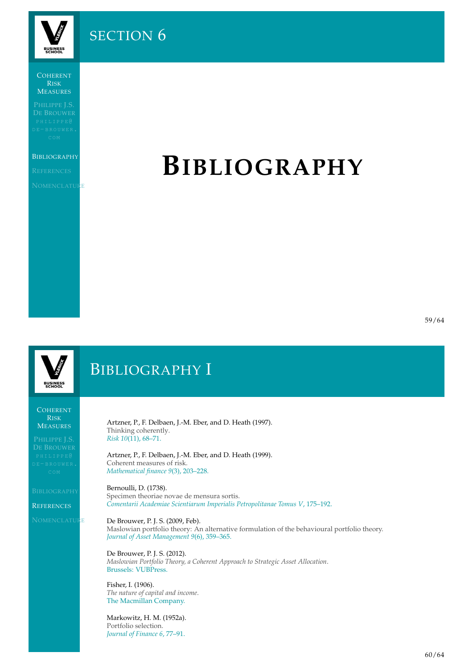**BUSINESS**<br>SCHOOL

SECTION<sub>6</sub>

COHERENT RISK **MEASURES** 

### **BIBLIOGRAPHY**

**NOMENCLATURE** 

# **BIBLIOGRAPHY**

59/64

**BUSINESS** 

# BIBLIOGRAPHY I

COHERENT RISK **MEASURES** 

<span id="page-22-4"></span>**[R](#page-0-0)EFERENCES** 

<span id="page-22-3"></span><span id="page-22-0"></span>**NOMENCLATURE** 

Artzner, P., F. Delbaen, J.-M. Eber, and D. Heath (1997). Thinking coherently. *Risk 10*(11), 68–71.

Artzner, P., F. Delbaen, J.-M. Eber, and D. Heath (1999). Coherent measures of risk. *Mathematical finance 9*(3), 203–228.

Bernoulli, D. (1738). Specimen theoriae novae de mensura sortis. *Comentarii Academiae Scientiarum Imperialis Petropolitanae Tomus V*, 175–192.

### De Brouwer, P. J. S. (2009, Feb).

Maslowian portfolio theory: An alternative formulation of the behavioural portfolio theory. *Journal of Asset Management 9*(6), 359–365.

De Brouwer, P. J. S. (2012). *[Maslowian Portfolio Theory, a Coherent Appr](#page-22-5)oach to Strategic Asset Allocation*. Brussels: VUBPress.

Fisher, I. (1906). *The nature of capital and income*. The Macmillan Company.

<span id="page-22-5"></span><span id="page-22-2"></span><span id="page-22-1"></span>Markowitz, H. M. (1952a). Portfolio selection. *Journal of Finance 6*, 77–91.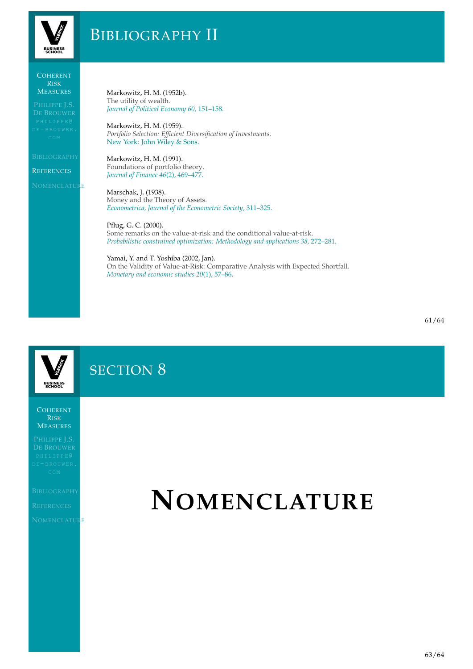

# BIBLIOGRAPHY II

### **COHERENT** RISK **MEASURES**

**REFERENCES** 

**NOMENCLATURE** 

Markowitz, H. M. (1952b). The utility of wealth. *Journal of Political Economy 60*, 151–158.

Markowitz, H. M. (1959). *Portfolio Selection: Efficient Diversification of Investments*. New York: John Wiley & Sons.

Markowitz, H. M. (1991). Foundations of portfolio theory. *Journal of Finance 46*(2), 469–477.

Marschak, J. (1938). Money and the Theory of Assets. *Econometrica, Journal of the Econometric Society*, 311–325.

Pflug, G. C. (2000). Some remarks on the value-at-risk and the conditional value-at-risk. *Probabilistic constrained optimization: Methodology and applications 38*, 272–281.

Yamai, Y. and T. Yoshiba (2002, Jan). On the Validity of Value-at-Risk: Comparative Analysis with Expected Shortfall. *Monetary and economic studies 20*(1), 57–86.

**BUSINESS** 

# SECTION 8

COHERENT RISK **MEASURES** 

<span id="page-23-3"></span>

<span id="page-23-2"></span><span id="page-23-1"></span><span id="page-23-0"></span>**NOMENCLATURE** 

# **NOMENCLATURE**